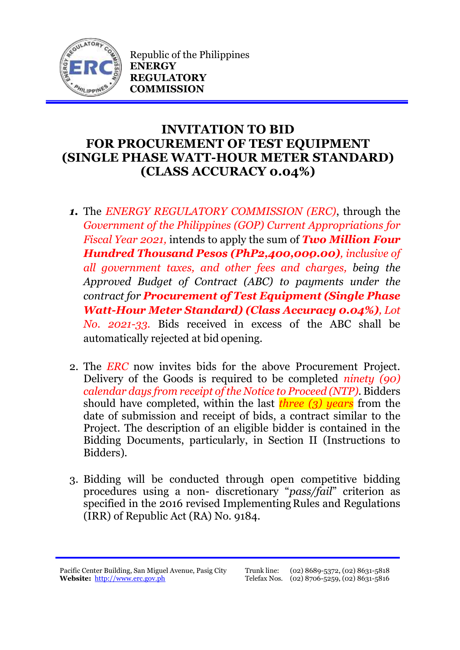

Republic of the Philippines **ENERGY REGULATORY COMMISSION**

## **INVITATION TO BID FOR PROCUREMENT OF TEST EQUIPMENT (SINGLE PHASE WATT-HOUR METER STANDARD) (CLASS ACCURACY 0.04%)**

- *1.* The *ENERGY REGULATORY COMMISSION (ERC)*, through the *Government of the Philippines (GOP) Current Appropriations for Fiscal Year 2021,* intends to apply the sum of *Two Million Four Hundred Thousand Pesos (PhP2,400,000.00), inclusive of all government taxes, and other fees and charges, being the Approved Budget of Contract (ABC) to payments under the contract for Procurement of Test Equipment (Single Phase Watt-Hour Meter Standard) (Class Accuracy 0.04%), Lot No. 2021-33.* Bids received in excess of the ABC shall be automatically rejected at bid opening.
- 2. The *ERC* now invites bids for the above Procurement Project. Delivery of the Goods is required to be completed *ninety (90) calendar days from receipt of the Notice to Proceed (NTP).* Bidders should have completed, within the last *three (3) years* from the date of submission and receipt of bids, a contract similar to the Project. The description of an eligible bidder is contained in the Bidding Documents, particularly, in Section II (Instructions to Bidders).
- 3. Bidding will be conducted through open competitive bidding procedures using a non- discretionary "*pass/fail*" criterion as specified in the 2016 revised Implementing Rules and Regulations (IRR) of Republic Act (RA) No. 9184.

Pacific Center Building, San Miguel Avenue, Pasig City **Website:** [http://www.erc.gov.ph](http://www.erc.gov.ph/)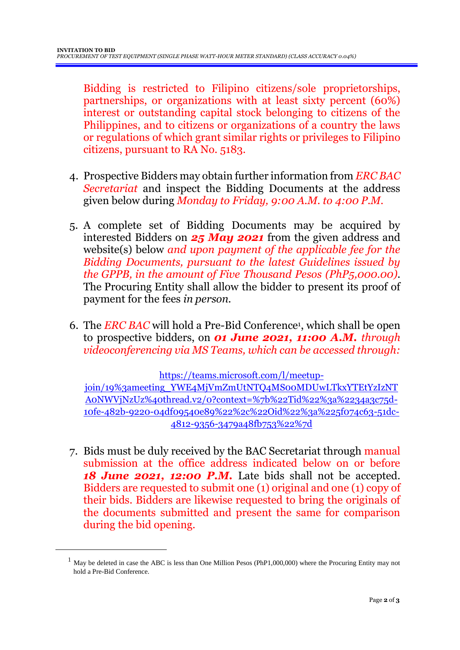Bidding is restricted to Filipino citizens/sole proprietorships, partnerships, or organizations with at least sixty percent (60%) interest or outstanding capital stock belonging to citizens of the Philippines, and to citizens or organizations of a country the laws or regulations of which grant similar rights or privileges to Filipino citizens, pursuant to RA No. 5183.

- 4. Prospective Bidders may obtain further information from *ERC BAC Secretariat* and inspect the Bidding Documents at the address given below during *Monday to Friday, 9:00 A.M. to 4:00 P.M*.
- 5. A complete set of Bidding Documents may be acquired by interested Bidders on *25 May 2021* from the given address and website(s) below *and upon payment of the applicable fee for the Bidding Documents, pursuant to the latest Guidelines issued by the GPPB, in the amount of Five Thousand Pesos (PhP5,000.00)*. The Procuring Entity shall allow the bidder to present its proof of payment for the fees *in person.*
- 6. The *ERC BAC* will hold a Pre-Bid Conference<sup>1</sup> , which shall be open to prospective bidders, on *01 June 2021, 11:00 A.M. through videoconferencing via MS Teams, which can be accessed through:*

[https://teams.microsoft.com/l/meetup-](https://teams.microsoft.com/l/meetup-join/19%3ameeting_YWE4MjVmZmUtNTQ4MS00MDUwLTkxYTEtYzIzNTA0NWVjNzUz%40thread.v2/0?context=%7b%22Tid%22%3a%2234a3c75d-10fe-482b-9220-04df09540e89%22%2c%22Oid%22%3a%225f074c63-51dc-4812-9356-3479a48fb753%22%7d)

[join/19%3ameeting\\_YWE4MjVmZmUtNTQ4MS00MDUwLTkxYTEtYzIzNT](https://teams.microsoft.com/l/meetup-join/19%3ameeting_YWE4MjVmZmUtNTQ4MS00MDUwLTkxYTEtYzIzNTA0NWVjNzUz%40thread.v2/0?context=%7b%22Tid%22%3a%2234a3c75d-10fe-482b-9220-04df09540e89%22%2c%22Oid%22%3a%225f074c63-51dc-4812-9356-3479a48fb753%22%7d) [A0NWVjNzUz%40thread.v2/0?context=%7b%22Tid%22%3a%2234a3c75d-](https://teams.microsoft.com/l/meetup-join/19%3ameeting_YWE4MjVmZmUtNTQ4MS00MDUwLTkxYTEtYzIzNTA0NWVjNzUz%40thread.v2/0?context=%7b%22Tid%22%3a%2234a3c75d-10fe-482b-9220-04df09540e89%22%2c%22Oid%22%3a%225f074c63-51dc-4812-9356-3479a48fb753%22%7d)[10fe-482b-9220-04df09540e89%22%2c%22Oid%22%3a%225f074c63-51dc-](https://teams.microsoft.com/l/meetup-join/19%3ameeting_YWE4MjVmZmUtNTQ4MS00MDUwLTkxYTEtYzIzNTA0NWVjNzUz%40thread.v2/0?context=%7b%22Tid%22%3a%2234a3c75d-10fe-482b-9220-04df09540e89%22%2c%22Oid%22%3a%225f074c63-51dc-4812-9356-3479a48fb753%22%7d)[4812-9356-3479a48fb753%22%7d](https://teams.microsoft.com/l/meetup-join/19%3ameeting_YWE4MjVmZmUtNTQ4MS00MDUwLTkxYTEtYzIzNTA0NWVjNzUz%40thread.v2/0?context=%7b%22Tid%22%3a%2234a3c75d-10fe-482b-9220-04df09540e89%22%2c%22Oid%22%3a%225f074c63-51dc-4812-9356-3479a48fb753%22%7d)

7. Bids must be duly received by the BAC Secretariat through manual submission at the office address indicated below on or before *18 June 2021, 12:00 P.M.* Late bids shall not be accepted. Bidders are requested to submit one (1) original and one (1) copy of their bids. Bidders are likewise requested to bring the originals of the documents submitted and present the same for comparison during the bid opening.

<u>.</u>

<sup>&</sup>lt;sup>1</sup> May be deleted in case the ABC is less than One Million Pesos (PhP1,000,000) where the Procuring Entity may not hold a Pre-Bid Conference.